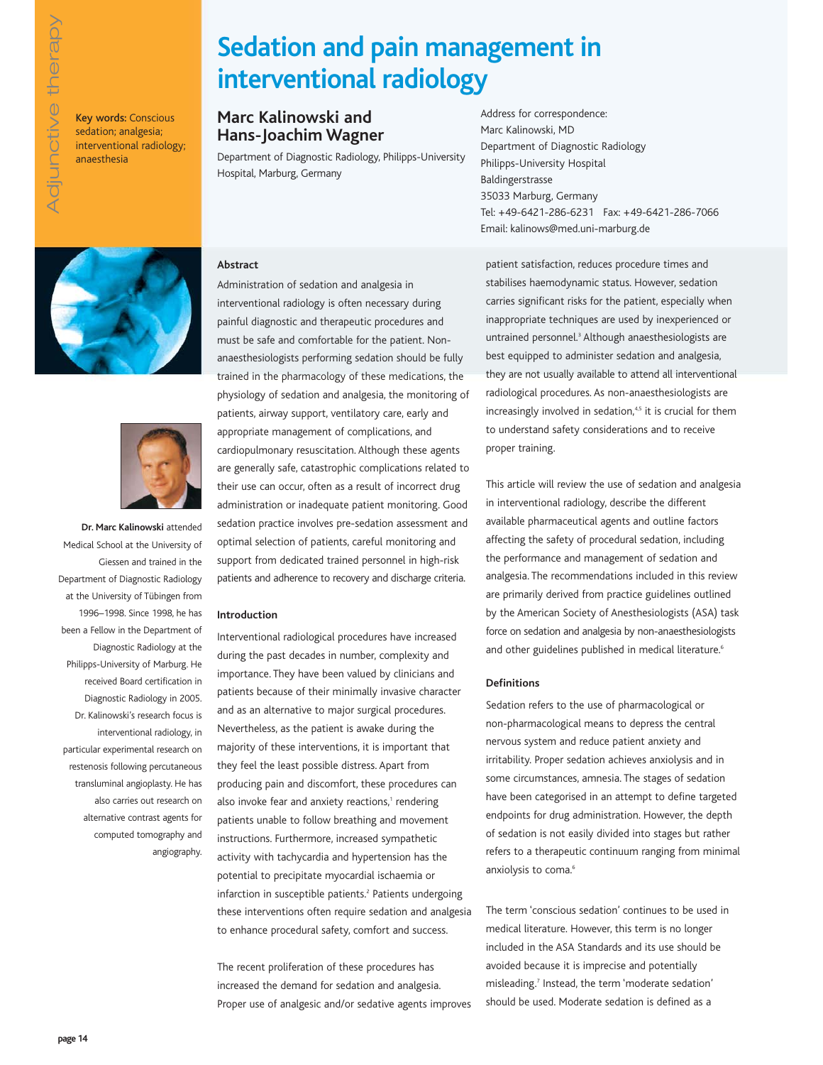Key words: Conscious sedation; analgesia; interventional radiology; anaesthesia

# **Sedation and pain management in interventional radiology**

### **Marc Kalinowski and Hans-Joachim Wagner**

Department of Diagnostic Radiology, Philipps-University Hospital, Marburg, Germany

Address for correspondence: Marc Kalinowski, MD Department of Diagnostic Radiology Philipps-University Hospital Baldingerstrasse 35033 Marburg, Germany Tel: +49-6421-286-6231 Fax: +49-6421-286-7066 Email: kalinows@med.uni-marburg.de





**Dr. Marc Kalinowski** attended Medical School at the University of Giessen and trained in the Department of Diagnostic Radiology at the University of Tübingen from 1996–1998. Since 1998, he has been a Fellow in the Department of Diagnostic Radiology at the Philipps-University of Marburg. He received Board certification in Diagnostic Radiology in 2005. Dr. Kalinowski's research focus is interventional radiology, in particular experimental research on restenosis following percutaneous transluminal angioplasty. He has also carries out research on alternative contrast agents for computed tomography and angiography.

### **Abstract**

Administration of sedation and analgesia in interventional radiology is often necessary during painful diagnostic and therapeutic procedures and must be safe and comfortable for the patient. Nonanaesthesiologists performing sedation should be fully trained in the pharmacology of these medications, the physiology of sedation and analgesia, the monitoring of patients, airway support, ventilatory care, early and appropriate management of complications, and cardiopulmonary resuscitation. Although these agents are generally safe, catastrophic complications related to their use can occur, often as a result of incorrect drug administration or inadequate patient monitoring. Good sedation practice involves pre-sedation assessment and optimal selection of patients, careful monitoring and support from dedicated trained personnel in high-risk patients and adherence to recovery and discharge criteria.

#### **Introduction**

Interventional radiological procedures have increased during the past decades in number, complexity and importance. They have been valued by clinicians and patients because of their minimally invasive character and as an alternative to major surgical procedures. Nevertheless, as the patient is awake during the majority of these interventions, it is important that they feel the least possible distress. Apart from producing pain and discomfort, these procedures can also invoke fear and anxiety reactions,<sup>1</sup> rendering patients unable to follow breathing and movement instructions. Furthermore, increased sympathetic activity with tachycardia and hypertension has the potential to precipitate myocardial ischaemia or infarction in susceptible patients.<sup>2</sup> Patients undergoing these interventions often require sedation and analgesia to enhance procedural safety, comfort and success.

The recent proliferation of these procedures has increased the demand for sedation and analgesia. Proper use of analgesic and/or sedative agents improves patient satisfaction, reduces procedure times and stabilises haemodynamic status. However, sedation carries significant risks for the patient, especially when inappropriate techniques are used by inexperienced or untrained personnel.<sup>3</sup> Although anaesthesiologists are best equipped to administer sedation and analgesia, they are not usually available to attend all interventional radiological procedures. As non-anaesthesiologists are increasingly involved in sedation,<sup>4,5</sup> it is crucial for them to understand safety considerations and to receive proper training.

This article will review the use of sedation and analgesia in interventional radiology, describe the different available pharmaceutical agents and outline factors affecting the safety of procedural sedation, including the performance and management of sedation and analgesia. The recommendations included in this review are primarily derived from practice guidelines outlined by the American Society of Anesthesiologists (ASA) task force on sedation and analgesia by non-anaesthesiologists and other guidelines published in medical literature.<sup>6</sup>

#### **Definitions**

Sedation refers to the use of pharmacological or non-pharmacological means to depress the central nervous system and reduce patient anxiety and irritability. Proper sedation achieves anxiolysis and in some circumstances, amnesia. The stages of sedation have been categorised in an attempt to define targeted endpoints for drug administration. However, the depth of sedation is not easily divided into stages but rather refers to a therapeutic continuum ranging from minimal anxiolysis to coma.<sup>6</sup>

The term 'conscious sedation' continues to be used in medical literature. However, this term is no longer included in the ASA Standards and its use should be avoided because it is imprecise and potentially misleading.7 Instead, the term 'moderate sedation' should be used. Moderate sedation is defined as a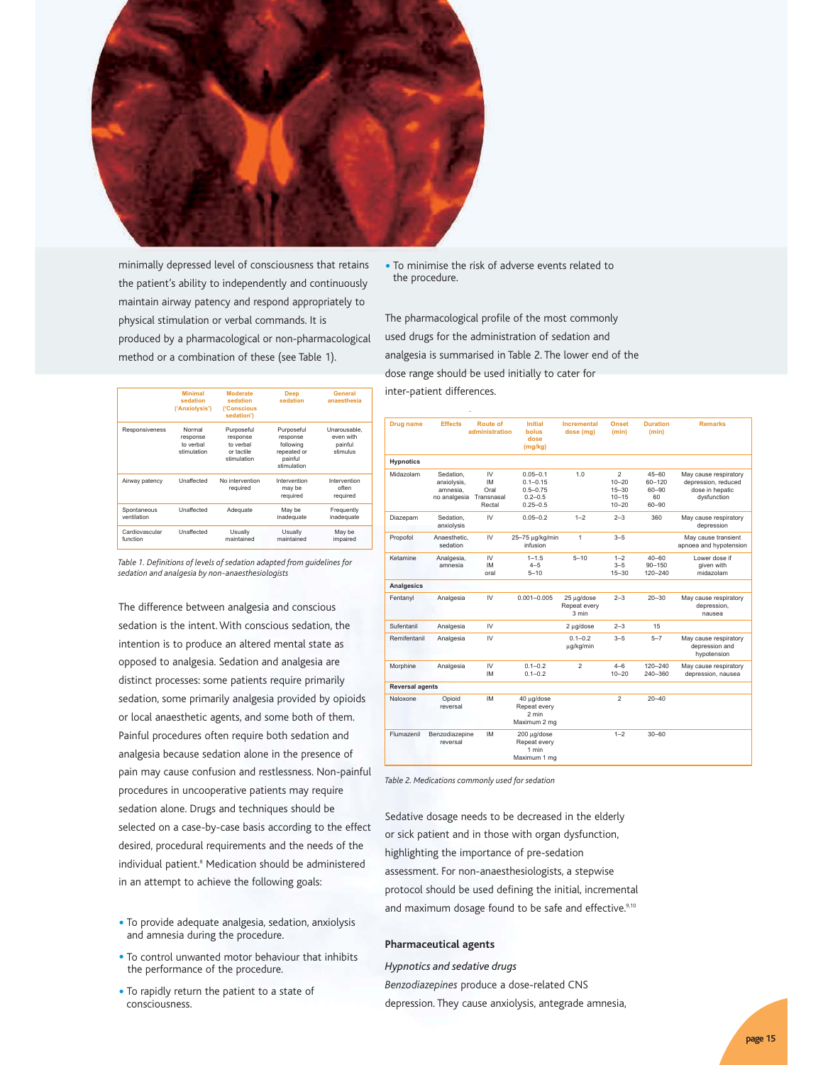

minimally depressed level of consciousness that retains the patient's ability to independently and continuously maintain airway patency and respond appropriately to physical stimulation or verbal commands. It is produced by a pharmacological or non-pharmacological method or a combination of these (see Table 1).

|                            | <b>Minimal</b><br>sedation<br>('Anxiolysis')                                                                       | <b>Moderate</b><br>sedation<br><i><b>('Conscious</b></i><br>sedation') | <b>Deep</b><br>sedation                                                      | General<br>anaesthesia                           |  |
|----------------------------|--------------------------------------------------------------------------------------------------------------------|------------------------------------------------------------------------|------------------------------------------------------------------------------|--------------------------------------------------|--|
| Responsiveness             | Normal<br>Purposeful<br>response<br>response<br>to verbal<br>to verbal<br>stimulation<br>or tactile<br>stimulation |                                                                        | Purposeful<br>response<br>following<br>repeated or<br>painful<br>stimulation | Unarousable.<br>even with<br>painful<br>stimulus |  |
| Airway patency             | Unaffected                                                                                                         | No intervention<br>required                                            | Intervention<br>may be<br>required                                           | Intervention<br>often<br>required                |  |
| Spontaneous<br>ventilation | Unaffected                                                                                                         | Adequate                                                               | May be<br>inadequate                                                         | Frequently<br>inadequate                         |  |
| Cardiovascular<br>function | Unaffected                                                                                                         | Usually<br>maintained                                                  | Usually<br>maintained                                                        | May be<br>impaired                               |  |

*Table 1. Definitions of levels of sedation adapted from guidelines for sedation and analgesia by non-anaesthesiologists*

The difference between analgesia and conscious sedation is the intent. With conscious sedation, the intention is to produce an altered mental state as opposed to analgesia. Sedation and analgesia are distinct processes: some patients require primarily sedation, some primarily analgesia provided by opioids or local anaesthetic agents, and some both of them. Painful procedures often require both sedation and analgesia because sedation alone in the presence of pain may cause confusion and restlessness. Non-painful procedures in uncooperative patients may require sedation alone. Drugs and techniques should be selected on a case-by-case basis according to the effect desired, procedural requirements and the needs of the individual patient.<sup>8</sup> Medication should be administered in an attempt to achieve the following goals:

- To provide adequate analgesia, sedation, anxiolysis and amnesia during the procedure.
- To control unwanted motor behaviour that inhibits the performance of the procedure.
- To rapidly return the patient to a state of consciousness.

• To minimise the risk of adverse events related to the procedure.

The pharmacological profile of the most commonly used drugs for the administration of sedation and analgesia is summarised in Table 2. The lower end of the dose range should be used initially to cater for inter-patient differences.

| <b>Drug name</b>       | <b>Effects</b>                                       | Route of<br>administration                      | <b>Initial</b><br>bolus<br>dose<br>(mg/kg)                                  | Incremental<br>dose (mg)            | <b>Onset</b><br>(min)                                 | <b>Duration</b><br>(min)                            | <b>Remarks</b>                                                                 |
|------------------------|------------------------------------------------------|-------------------------------------------------|-----------------------------------------------------------------------------|-------------------------------------|-------------------------------------------------------|-----------------------------------------------------|--------------------------------------------------------------------------------|
| <b>Hypnotics</b>       |                                                      |                                                 |                                                                             |                                     |                                                       |                                                     |                                                                                |
| Midazolam              | Sedation.<br>anxiolysis,<br>amnesia.<br>no analgesia | IV<br><b>IM</b><br>Oral<br>Transnasal<br>Rectal | $0.05 - 0.1$<br>$0.1 - 0.15$<br>$0.5 - 0.75$<br>$0.2 - 0.5$<br>$0.25 - 0.5$ | 1.0                                 | 2<br>$10 - 20$<br>$15 - 30$<br>$10 - 15$<br>$10 - 20$ | $45 - 60$<br>60-120<br>$60 - 90$<br>60<br>$60 - 90$ | May cause respiratory<br>depression, reduced<br>dose in hepatic<br>dysfunction |
| Diazepam               | Sedation.<br>anxiolysis                              | IV                                              | $0.05 - 0.2$                                                                | $1 - 2$                             | $2 - 3$                                               | 360                                                 | May cause respiratory<br>depression                                            |
| Propofol               | Anaesthetic.<br>sedation                             | IV                                              | 25-75 µg/kg/min<br>infusion                                                 | 1                                   | $3 - 5$                                               |                                                     | May cause transient<br>apnoea and hypotension                                  |
| Ketamine               | Analgesia,<br>amnesia                                | IV<br><b>IM</b><br>oral                         | $1 - 1.5$<br>$4 - 5$<br>$5 - 10$                                            | $5 - 10$                            | $1 - 2$<br>$3 - 5$<br>$15 - 30$                       | $40 - 60$<br>$90 - 150$<br>120-240                  | Lower dose if<br>aiven with<br>midazolam                                       |
| <b>Analgesics</b>      |                                                      |                                                 |                                                                             |                                     |                                                       |                                                     |                                                                                |
| Fentanyl               | Analgesia                                            | IV                                              | $0.001 - 0.005$                                                             | 25 µg/dose<br>Repeat every<br>3 min | $2 - 3$                                               | $20 - 30$                                           | May cause respiratory<br>depression.<br>nausea                                 |
| Sufentanil             | Analgesia                                            | IV                                              |                                                                             | 2 µg/dose                           | $2 - 3$                                               | 15                                                  |                                                                                |
| Remifentanil           | Analgesia                                            | IV                                              |                                                                             | $0.1 - 0.2$<br>ug/kg/min            | $3 - 5$                                               | $5 - 7$                                             | May cause respiratory<br>depression and<br>hypotension                         |
| Morphine               | Analgesia                                            | IV<br><b>IM</b>                                 | $0.1 - 0.2$<br>$0.1 - 0.2$                                                  | $\overline{2}$                      | $4 - 6$<br>$10 - 20$                                  | 120-240<br>240-360                                  | May cause respiratory<br>depression, nausea                                    |
| <b>Reversal agents</b> |                                                      |                                                 |                                                                             |                                     |                                                       |                                                     |                                                                                |
| Naloxone               | Opioid<br>reversal                                   | <b>IM</b>                                       | 40 ua/dose<br>Repeat every<br>$2$ min<br>Maximum 2 mg                       |                                     | $\mathfrak{p}$                                        | $20 - 40$                                           |                                                                                |
| Flumazenil             | Benzodiazepine<br>reversal                           | <b>IM</b>                                       | 200 µg/dose<br>Repeat every<br>1 min<br>Maximum 1 mg                        |                                     | $1 - 2$                                               | $30 - 60$                                           |                                                                                |

*Table 2. Medications commonly used for sedation*

Sedative dosage needs to be decreased in the elderly or sick patient and in those with organ dysfunction, highlighting the importance of pre-sedation assessment. For non-anaesthesiologists, a stepwise protocol should be used defining the initial, incremental and maximum dosage found to be safe and effective.<sup>9,10</sup>

#### **Pharmaceutical agents**

*Hypnotics and sedative drugs Benzodiazepines* produce a dose-related CNS depression. They cause anxiolysis, antegrade amnesia,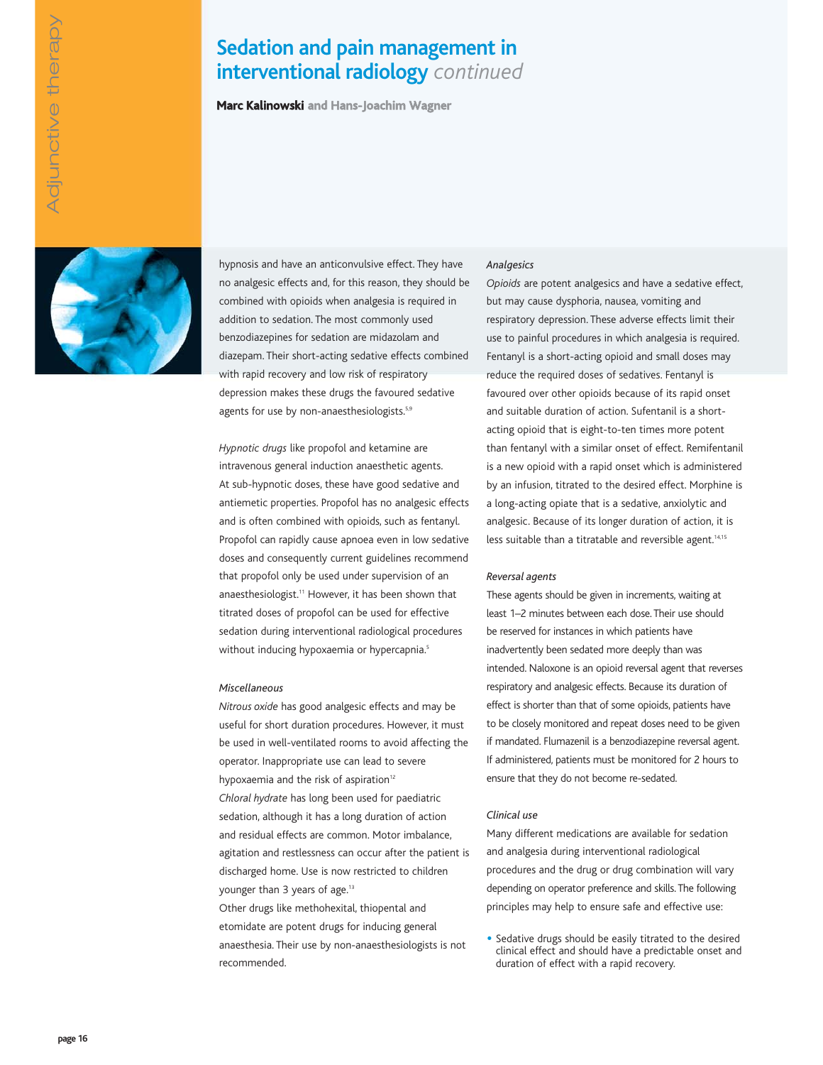## **Sedation and pain management in interventional radiology** *continued*

**Marc Kalinowski and Hans-Joachim Wagner**



hypnosis and have an anticonvulsive effect. They have no analgesic effects and, for this reason, they should be combined with opioids when analgesia is required in addition to sedation. The most commonly used benzodiazepines for sedation are midazolam and diazepam. Their short-acting sedative effects combined with rapid recovery and low risk of respiratory depression makes these drugs the favoured sedative agents for use by non-anaesthesiologists.<sup>5,9</sup>

*Hypnotic drugs* like propofol and ketamine are intravenous general induction anaesthetic agents. At sub-hypnotic doses, these have good sedative and antiemetic properties. Propofol has no analgesic effects and is often combined with opioids, such as fentanyl. Propofol can rapidly cause apnoea even in low sedative doses and consequently current guidelines recommend that propofol only be used under supervision of an anaesthesiologist.<sup>11</sup> However, it has been shown that titrated doses of propofol can be used for effective sedation during interventional radiological procedures without inducing hypoxaemia or hypercapnia.<sup>5</sup>

#### *Miscellaneous*

*Nitrous oxide* has good analgesic effects and may be useful for short duration procedures. However, it must be used in well-ventilated rooms to avoid affecting the operator. Inappropriate use can lead to severe hypoxaemia and the risk of aspiration $12$ *Chloral hydrate* has long been used for paediatric sedation, although it has a long duration of action and residual effects are common. Motor imbalance, agitation and restlessness can occur after the patient is discharged home. Use is now restricted to children younger than 3 years of age.<sup>13</sup>

Other drugs like methohexital, thiopental and etomidate are potent drugs for inducing general anaesthesia. Their use by non-anaesthesiologists is not recommended.

#### *Analgesics*

*Opioids* are potent analgesics and have a sedative effect, but may cause dysphoria, nausea, vomiting and respiratory depression. These adverse effects limit their use to painful procedures in which analgesia is required. Fentanyl is a short-acting opioid and small doses may reduce the required doses of sedatives. Fentanyl is favoured over other opioids because of its rapid onset and suitable duration of action. Sufentanil is a shortacting opioid that is eight-to-ten times more potent than fentanyl with a similar onset of effect. Remifentanil is a new opioid with a rapid onset which is administered by an infusion, titrated to the desired effect. Morphine is a long-acting opiate that is a sedative, anxiolytic and analgesic. Because of its longer duration of action, it is less suitable than a titratable and reversible agent.<sup>14,15</sup>

#### *Reversal agents*

These agents should be given in increments, waiting at least 1–2 minutes between each dose. Their use should be reserved for instances in which patients have inadvertently been sedated more deeply than was intended. Naloxone is an opioid reversal agent that reverses respiratory and analgesic effects. Because its duration of effect is shorter than that of some opioids, patients have to be closely monitored and repeat doses need to be given if mandated. Flumazenil is a benzodiazepine reversal agent. If administered, patients must be monitored for 2 hours to ensure that they do not become re-sedated.

#### *Clinical use*

Many different medications are available for sedation and analgesia during interventional radiological procedures and the drug or drug combination will vary depending on operator preference and skills. The following principles may help to ensure safe and effective use:

• Sedative drugs should be easily titrated to the desired clinical effect and should have a predictable onset and duration of effect with a rapid recovery.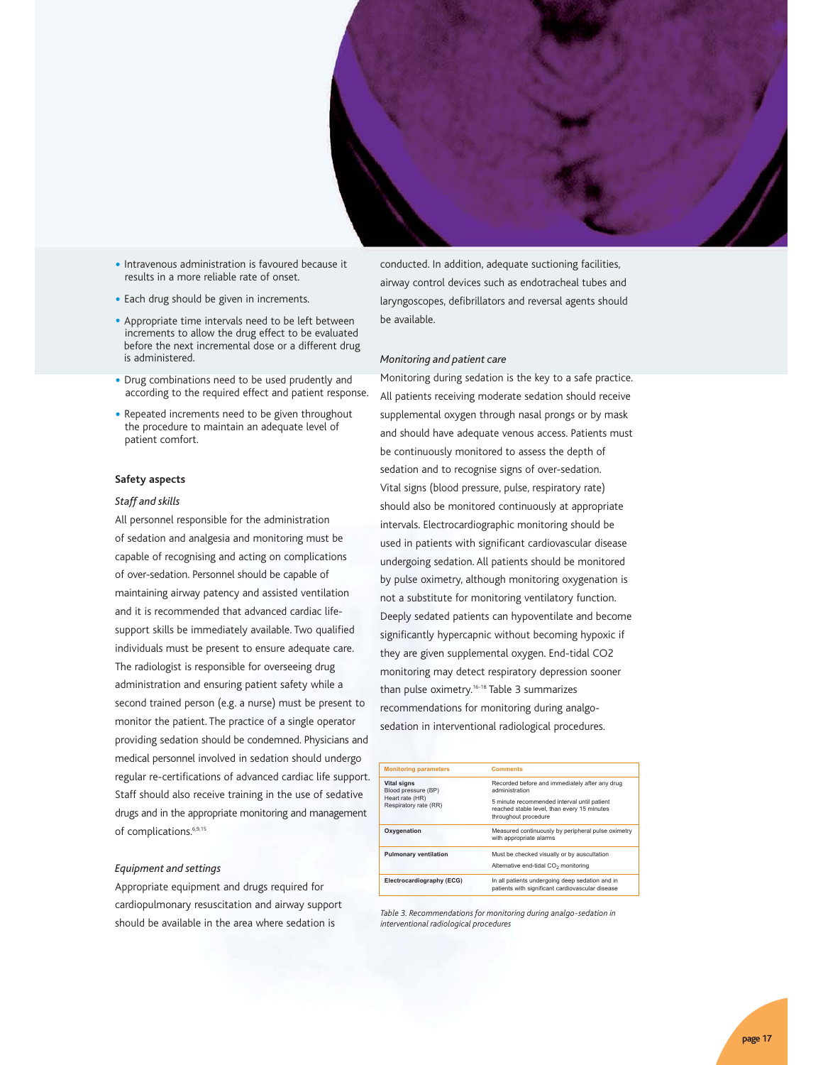

- Intravenous administration is favoured because it results in a more reliable rate of onset.
- Each drug should be given in increments.
- Appropriate time intervals need to be left between increments to allow the drug effect to be evaluated before the next incremental dose or a different drug is administered.
- Drug combinations need to be used prudently and according to the required effect and patient response.
- Repeated increments need to be given throughout the procedure to maintain an adequate level of patient comfort.

#### **Safety aspects**

#### *Staff and skills*

All personnel responsible for the administration of sedation and analgesia and monitoring must be capable of recognising and acting on complications of over-sedation. Personnel should be capable of maintaining airway patency and assisted ventilation and it is recommended that advanced cardiac lifesupport skills be immediately available. Two qualified individuals must be present to ensure adequate care. The radiologist is responsible for overseeing drug administration and ensuring patient safety while a second trained person (e.g. a nurse) must be present to monitor the patient. The practice of a single operator providing sedation should be condemned. Physicians and medical personnel involved in sedation should undergo regular re-certifications of advanced cardiac life support. Staff should also receive training in the use of sedative drugs and in the appropriate monitoring and management of complications.<sup>6,9,15</sup>

#### *Equipment and settings*

Appropriate equipment and drugs required for cardiopulmonary resuscitation and airway support should be available in the area where sedation is

conducted. In addition, adequate suctioning facilities, airway control devices such as endotracheal tubes and laryngoscopes, defibrillators and reversal agents should be available.

#### *Monitoring and patient care*

Monitoring during sedation is the key to a safe practice. All patients receiving moderate sedation should receive supplemental oxygen through nasal prongs or by mask and should have adequate venous access. Patients must be continuously monitored to assess the depth of sedation and to recognise signs of over-sedation. Vital signs (blood pressure, pulse, respiratory rate) should also be monitored continuously at appropriate intervals. Electrocardiographic monitoring should be used in patients with significant cardiovascular disease undergoing sedation. All patients should be monitored by pulse oximetry, although monitoring oxygenation is not a substitute for monitoring ventilatory function. Deeply sedated patients can hypoventilate and become significantly hypercapnic without becoming hypoxic if they are given supplemental oxygen. End-tidal CO2 monitoring may detect respiratory depression sooner than pulse oximetry.16-18 Table 3 summarizes recommendations for monitoring during analgosedation in interventional radiological procedures.

| <b>Monitoring parameters</b>              | <b>Comments</b>                                                                                                    |  |  |  |
|-------------------------------------------|--------------------------------------------------------------------------------------------------------------------|--|--|--|
| <b>Vital signs</b><br>Blood pressure (BP) | Recorded before and immediately after any drug<br>administration                                                   |  |  |  |
| Heart rate (HR)<br>Respiratory rate (RR)  | 5 minute recommended interval until patient<br>reached stable level, than every 15 minutes<br>throughout procedure |  |  |  |
| Oxygenation                               | Measured continuously by peripheral pulse oximetry<br>with appropriate alarms                                      |  |  |  |
| <b>Pulmonary ventilation</b>              | Must be checked visually or by auscultation<br>Alternative end-tidal CO <sub>2</sub> monitoring                    |  |  |  |
| Electrocardiography (ECG)                 | In all patients undergoing deep sedation and in<br>patients with significant cardiovascular disease                |  |  |  |

*Table 3. Recommendations for monitoring during analgo-sedation in interventional radiological procedures*